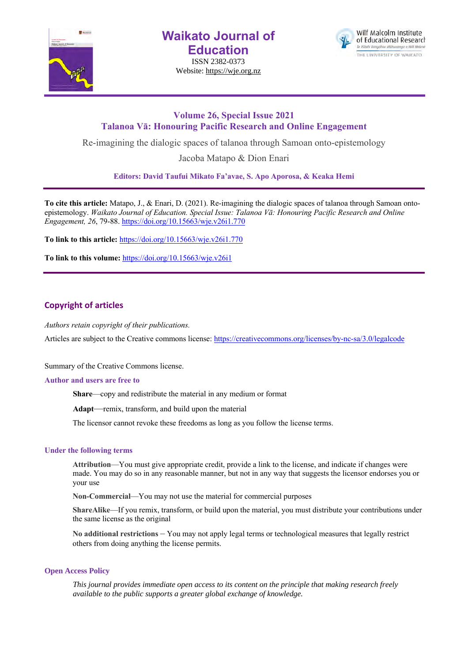

**Waikato Journal of Education**

ISSN 2382-0373 Website: https://wje.org.nz



# **Volume 26, Special Issue 2021 Talanoa Vā: Honouring Pacific Research and Online Engagement**

Re-imagining the dialogic spaces of talanoa through Samoan onto-epistemology

Jacoba Matapo & Dion Enari

**Editors: David Taufui Mikato Fa'avae, S. Apo Aporosa, & Keaka Hemi**

**To cite this article:** Matapo, J., & Enari, D. (2021). Re-imagining the dialogic spaces of talanoa through Samoan ontoepistemology. *Waikato Journal of Education. Special Issue: Talanoa Vā: Honouring Pacific Research and Online Engagement, 26*, 79-88. https://doi.org/10.15663/wje.v26i1.770

**To link to this article:** https://doi.org/10.15663/wje.v26i1.770

**To link to this volume:** https://doi.org/10.15663/wje.v26i1

# **Copyright of articles**

*Authors retain copyright of their publications.*

Articles are subject to the Creative commons license: https://creativecommons.org/licenses/by-nc-sa/3.0/legalcode

Summary of the Creative Commons license.

#### **Author and users are free to**

**Share**—copy and redistribute the material in any medium or format

**Adapt**—remix, transform, and build upon the material

The licensor cannot revoke these freedoms as long as you follow the license terms.

#### **Under the following terms**

**Attribution**—You must give appropriate credit, provide a link to the license, and indicate if changes were made. You may do so in any reasonable manner, but not in any way that suggests the licensor endorses you or your use

**Non-Commercial**—You may not use the material for commercial purposes

**ShareAlike**—If you remix, transform, or build upon the material, you must distribute your contributions under the same license as the original

**No additional restrictions** – You may not apply legal terms or technological measures that legally restrict others from doing anything the license permits.

#### **Open Access Policy**

*This journal provides immediate open access to its content on the principle that making research freely available to the public supports a greater global exchange of knowledge.*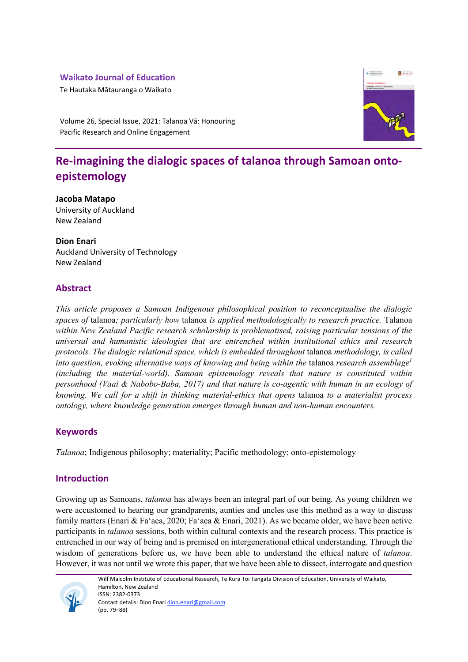# **Waikato Journal of Education**

Te Hautaka Mātauranga o Waikato



Volume 26, Special Issue, 2021: Talanoa Vā: Honouring Pacific Research and Online Engagement

# **Re-imagining the dialogic spaces of talanoa through Samoan ontoepistemology**

# **Jacoba Matapo**

University of Auckland New Zealand

# **Dion Enari**

Auckland University of Technology New Zealand

# **Abstract**

*This article proposes a Samoan Indigenous philosophical position to reconceptualise the dialogic spaces of* talanoa*; particularly how* talanoa *is applied methodologically to research practice.* Talanoa *within New Zealand Pacific research scholarship is problematised, raising particular tensions of the universal and humanistic ideologies that are entrenched within institutional ethics and research protocols. The dialogic relational space, which is embedded throughout* talanoa *methodology, is called into question, evoking alternative ways of knowing and being within the talanoa research assemblage*<sup>1</sup> *(including the material-world). Samoan epistemology reveals that nature is constituted within personhood (Vaai & Nabobo-Baba, 2017) and that nature is co-agentic with human in an ecology of knowing. We call for a shift in thinking material-ethics that opens* talanoa *to a materialist process ontology, where knowledge generation emerges through human and non-human encounters.*

# **Keywords**

*Talanoa*; Indigenous philosophy; materiality; Pacific methodology; onto-epistemology

# **Introduction**

Growing up as Samoans, *talanoa* has always been an integral part of our being. As young children we were accustomed to hearing our grandparents, aunties and uncles use this method as a way to discuss family matters (Enari & Fa'aea, 2020; Fa'aea & Enari, 2021). As we became older, we have been active participants in *talanoa* sessions, both within cultural contexts and the research process. This practice is entrenched in our way of being and is premised on intergenerational ethical understanding. Through the wisdom of generations before us, we have been able to understand the ethical nature of *talanoa*. However, it was not until we wrote this paper, that we have been able to dissect, interrogate and question



Wilf Malcolm Institute of Educational Research, Te Kura Toi Tangata Division of Education, University of Waikato, Hamilton, New Zealand ISSN: 2382-0373 Contact details: Dion Enari dion.enari@gmail.com (pp. 79–88)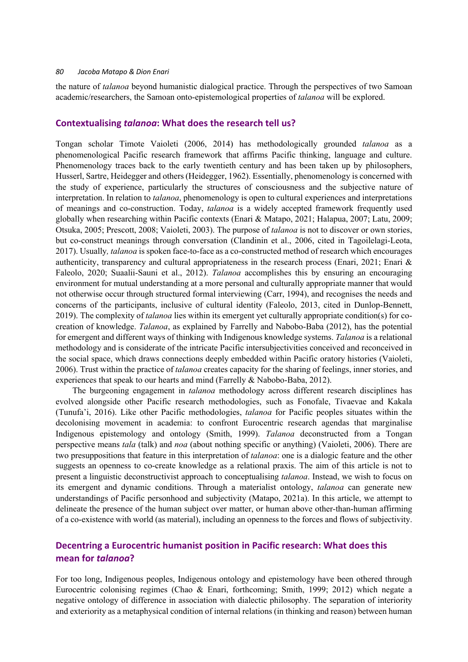the nature of *talanoa* beyond humanistic dialogical practice. Through the perspectives of two Samoan academic/researchers, the Samoan onto-epistemological properties of *talanoa* will be explored.

#### **Contextualising** *talanoa***: What does the research tell us?**

Tongan scholar Timote Vaioleti (2006, 2014) has methodologically grounded *talanoa* as a phenomenological Pacific research framework that affirms Pacific thinking, language and culture. Phenomenology traces back to the early twentieth century and has been taken up by philosophers, Husserl, Sartre, Heidegger and others (Heidegger, 1962). Essentially, phenomenology is concerned with the study of experience, particularly the structures of consciousness and the subjective nature of interpretation. In relation to *talanoa*, phenomenology is open to cultural experiences and interpretations of meanings and co-construction. Today, *talanoa* is a widely accepted framework frequently used globally when researching within Pacific contexts (Enari & Matapo, 2021; Halapua, 2007; Latu, 2009; Otsuka, 2005; Prescott, 2008; Vaioleti, 2003). The purpose of *talanoa* is not to discover or own stories, but co-construct meanings through conversation (Clandinin et al., 2006, cited in Tagoilelagi-Leota, 2017). Usually*, talanoa* is spoken face-to-face as a co-constructed method of research which encourages authenticity, transparency and cultural appropriateness in the research process (Enari, 2021; Enari & Faleolo, 2020; Suaalii-Sauni et al., 2012). *Talanoa* accomplishes this by ensuring an encouraging environment for mutual understanding at a more personal and culturally appropriate manner that would not otherwise occur through structured formal interviewing (Carr, 1994), and recognises the needs and concerns of the participants, inclusive of cultural identity (Faleolo, 2013, cited in Dunlop-Bennett, 2019). The complexity of *talanoa* lies within its emergent yet culturally appropriate condition(s) for cocreation of knowledge. *Talanoa*, as explained by Farrelly and Nabobo-Baba (2012), has the potential for emergent and different ways of thinking with Indigenous knowledge systems. *Talanoa* is a relational methodology and is considerate of the intricate Pacific intersubjectivities conceived and reconceived in the social space, which draws connections deeply embedded within Pacific oratory histories (Vaioleti, 2006). Trust within the practice of *talanoa* creates capacity for the sharing of feelings, inner stories, and experiences that speak to our hearts and mind (Farrelly & Nabobo-Baba, 2012).

The burgeoning engagement in *talanoa* methodology across different research disciplines has evolved alongside other Pacific research methodologies, such as Fonofale, Tivaevae and Kakala (Tunufa'i, 2016). Like other Pacific methodologies, *talanoa* for Pacific peoples situates within the decolonising movement in academia: to confront Eurocentric research agendas that marginalise Indigenous epistemology and ontology (Smith, 1999). *Talanoa* deconstructed from a Tongan perspective means *tala* (talk) and *noa* (about nothing specific or anything) (Vaioleti, 2006). There are two presuppositions that feature in this interpretation of *talanoa*: one is a dialogic feature and the other suggests an openness to co-create knowledge as a relational praxis. The aim of this article is not to present a linguistic deconstructivist approach to conceptualising *talanoa*. Instead, we wish to focus on its emergent and dynamic conditions. Through a materialist ontology, *talanoa* can generate new understandings of Pacific personhood and subjectivity (Matapo, 2021a). In this article, we attempt to delineate the presence of the human subject over matter, or human above other-than-human affirming of a co-existence with world (as material), including an openness to the forces and flows of subjectivity.

# **Decentring a Eurocentric humanist position in Pacific research: What does this mean for** *talanoa***?**

For too long, Indigenous peoples, Indigenous ontology and epistemology have been othered through Eurocentric colonising regimes (Chao & Enari, forthcoming; Smith, 1999; 2012) which negate a negative ontology of difference in association with dialectic philosophy. The separation of interiority and exteriority as a metaphysical condition of internal relations (in thinking and reason) between human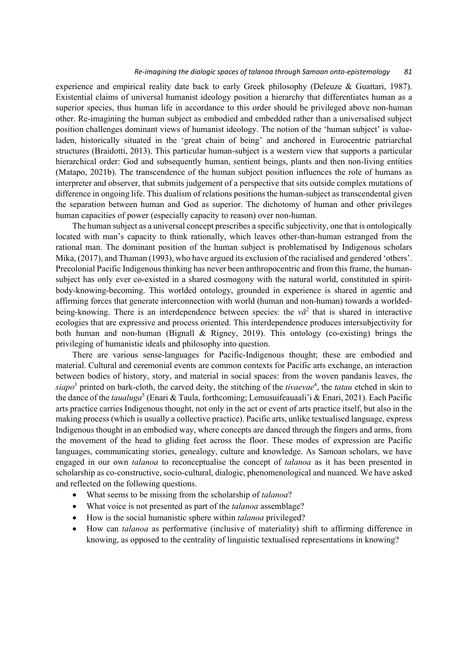#### *Re-imagining the dialogic spaces of talanoa through Samoan onto-epistemology 81*

experience and empirical reality date back to early Greek philosophy (Deleuze & Guattari, 1987). Existential claims of universal humanist ideology position a hierarchy that differentiates human as a superior species, thus human life in accordance to this order should be privileged above non-human other. Re-imagining the human subject as embodied and embedded rather than a universalised subject position challenges dominant views of humanist ideology. The notion of the 'human subject' is valueladen, historically situated in the 'great chain of being' and anchored in Eurocentric patriarchal structures (Braidotti, 2013). This particular human-subject is a western view that supports a particular hierarchical order: God and subsequently human, sentient beings, plants and then non-living entities (Matapo, 2021b). The transcendence of the human subject position influences the role of humans as interpreter and observer, that submits judgement of a perspective that sits outside complex mutations of difference in ongoing life. This dualism of relations positions the human-subject as transcendental given the separation between human and God as superior. The dichotomy of human and other privileges human capacities of power (especially capacity to reason) over non-human.

The human subject as a universal concept prescribes a specific subjectivity, one that is ontologically located with man's capacity to think rationally, which leaves other-than-human estranged from the rational man. The dominant position of the human subject is problematised by Indigenous scholars Mika, (2017), and Thaman (1993), who have argued its exclusion of the racialised and gendered 'others'. Precolonial Pacific Indigenous thinking has never been anthropocentric and from this frame, the humansubject has only ever co-existed in a shared cosmogony with the natural world, constituted in spiritbody-knowing-becoming. This worlded ontology, grounded in experience is shared in agentic and affirming forces that generate interconnection with world (human and non-human) towards a worldedbeing-knowing. There is an interdependence between species: the  $v\bar{a}^2$  that is shared in interactive ecologies that are expressive and process oriented. This interdependence produces intersubjectivity for both human and non-human (Bignall & Rigney, 2019). This ontology (co-existing) brings the privileging of humanistic ideals and philosophy into question.

There are various sense-languages for Pacific-Indigenous thought; these are embodied and material. Cultural and ceremonial events are common contexts for Pacific arts exchange, an interaction between bodies of history, story, and material in social spaces: from the woven pandanis leaves, the  $siapo<sup>3</sup>$  printed on bark-cloth, the carved deity, the stitching of the *tivaevae*<sup>4</sup>, the *tatau* etched in skin to the dance of the *taualuga*<sup>5</sup> (Enari & Taula, forthcoming; Lemusuifeauaali'i & Enari, 2021). Each Pacific arts practice carries Indigenous thought, not only in the act or event of arts practice itself, but also in the making process (which is usually a collective practice). Pacific arts, unlike textualised language, express Indigenous thought in an embodied way, where concepts are danced through the fingers and arms, from the movement of the head to gliding feet across the floor. These modes of expression are Pacific languages, communicating stories, genealogy, culture and knowledge. As Samoan scholars, we have engaged in our own *talanoa* to reconceptualise the concept of *talanoa* as it has been presented in scholarship as co-constructive, socio-cultural, dialogic, phenomenological and nuanced. We have asked and reflected on the following questions.

- What seems to be missing from the scholarship of *talanoa*?
- What voice is not presented as part of the *talanoa* assemblage?
- How is the social humanistic sphere within *talanoa* privileged?
- How can *talanoa* as performative (inclusive of materiality) shift to affirming difference in knowing, as opposed to the centrality of linguistic textualised representations in knowing?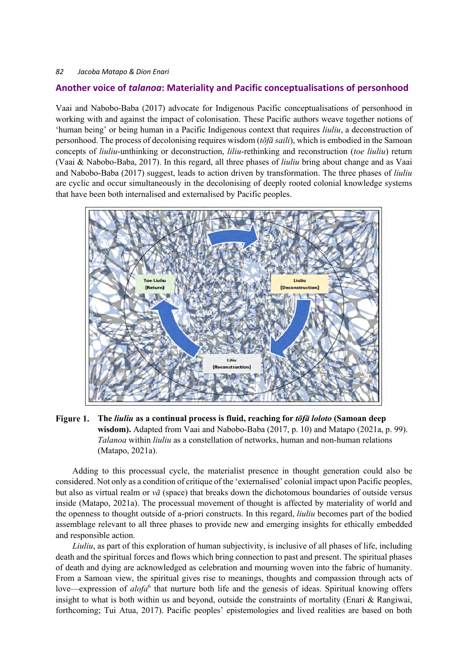# **Another voice of** *talanoa***: Materiality and Pacific conceptualisations of personhood**

Vaai and Nabobo-Baba (2017) advocate for Indigenous Pacific conceptualisations of personhood in working with and against the impact of colonisation. These Pacific authors weave together notions of 'human being' or being human in a Pacific Indigenous context that requires *liuliu*, a deconstruction of personhood. The process of decolonising requires wisdom (*tōfā saili*), which is embodied in the Samoan concepts of *liuliu*-unthinking or deconstruction, *liliu*-rethinking and reconstruction (*toe liuliu*) return (Vaai & Nabobo-Baba, 2017). In this regard, all three phases of *liuliu* bring about change and as Vaai and Nabobo-Baba (2017) suggest, leads to action driven by transformation. The three phases of *liuliu* are cyclic and occur simultaneously in the decolonising of deeply rooted colonial knowledge systems that have been both internalised and externalised by Pacific peoples.



#### Figure 1. **The** *liuliu* **as a continual process is fluid, reaching for** *tōfā loloto* **(Samoan deep wisdom).** Adapted from Vaai and Nabobo-Baba (2017, p. 10) and Matapo (2021a, p. 99). *Talanoa* within *liuliu* as a constellation of networks, human and non-human relations (Matapo, 2021a).

Adding to this processual cycle, the materialist presence in thought generation could also be considered. Not only as a condition of critique of the 'externalised' colonial impact upon Pacific peoples, but also as virtual realm or *vā* (space) that breaks down the dichotomous boundaries of outside versus inside (Matapo, 2021a). The processual movement of thought is affected by materiality of world and the openness to thought outside of a-priori constructs. In this regard, *liuliu* becomes part of the bodied assemblage relevant to all three phases to provide new and emerging insights for ethically embedded and responsible action.

*Liuliu*, as part of this exploration of human subjectivity, is inclusive of all phases of life, including death and the spiritual forces and flows which bring connection to past and present. The spiritual phases of death and dying are acknowledged as celebration and mourning woven into the fabric of humanity. From a Samoan view, the spiritual gives rise to meanings, thoughts and compassion through acts of love—expression of *alofa*<sup>6</sup> that nurture both life and the genesis of ideas. Spiritual knowing offers insight to what is both within us and beyond, outside the constraints of mortality (Enari & Rangiwai, forthcoming; Tui Atua, 2017). Pacific peoples' epistemologies and lived realities are based on both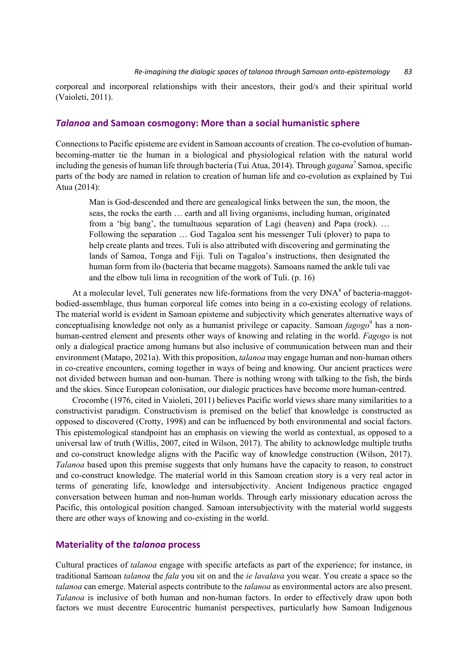corporeal and incorporeal relationships with their ancestors, their god/s and their spiritual world (Vaioleti, 2011).

#### *Talanoa* **and Samoan cosmogony: More than a social humanistic sphere**

Connections to Pacific episteme are evident in Samoan accounts of creation. The co-evolution of humanbecoming-matter tie the human in a biological and physiological relation with the natural world including the genesis of human life through bacteria (Tui Atua, 2014). Through *gagana*<sup>7</sup> Samoa, specific parts of the body are named in relation to creation of human life and co-evolution as explained by Tui Atua (2014):

Man is God-descended and there are genealogical links between the sun, the moon, the seas, the rocks the earth … earth and all living organisms, including human, originated from a 'big bang', the tumultuous separation of Lagi (heaven) and Papa (rock). … Following the separation … God Tagaloa sent his messenger Tuli (plover) to papa to help create plants and trees. Tuli is also attributed with discovering and germinating the lands of Samoa, Tonga and Fiji. Tuli on Tagaloa's instructions, then designated the human form from ilo (bacteria that became maggots). Samoans named the ankle tuli vae and the elbow tuli lima in recognition of the work of Tuli. (p. 16)

At a molecular level, Tuli generates new life-formations from the very  $DNA^8$  of bacteria-maggotbodied-assemblage, thus human corporeal life comes into being in a co-existing ecology of relations. The material world is evident in Samoan episteme and subjectivity which generates alternative ways of conceptualising knowledge not only as a humanist privilege or capacity. Samoan *fagogo*<sup>9</sup> has a nonhuman-centred element and presents other ways of knowing and relating in the world. *Fagogo* is not only a dialogical practice among humans but also inclusive of communication between man and their environment (Matapo, 2021a). With this proposition, *talanoa* may engage human and non-human others in co-creative encounters, coming together in ways of being and knowing. Our ancient practices were not divided between human and non-human. There is nothing wrong with talking to the fish, the birds and the skies. Since European colonisation, our dialogic practices have become more human-centred.

Crocombe (1976, cited in Vaioleti, 2011) believes Pacific world views share many similarities to a constructivist paradigm. Constructivism is premised on the belief that knowledge is constructed as opposed to discovered (Crotty, 1998) and can be influenced by both environmental and social factors. This epistemological standpoint has an emphasis on viewing the world as contextual, as opposed to a universal law of truth (Willis, 2007, cited in Wilson, 2017). The ability to acknowledge multiple truths and co-construct knowledge aligns with the Pacific way of knowledge construction (Wilson, 2017). *Talanoa* based upon this premise suggests that only humans have the capacity to reason, to construct and co-construct knowledge. The material world in this Samoan creation story is a very real actor in terms of generating life, knowledge and intersubjectivity. Ancient Indigenous practice engaged conversation between human and non-human worlds. Through early missionary education across the Pacific, this ontological position changed. Samoan intersubjectivity with the material world suggests there are other ways of knowing and co-existing in the world.

#### **Materiality of the** *talanoa* **process**

Cultural practices of *talanoa* engage with specific artefacts as part of the experience; for instance, in traditional Samoan *talanoa* the *fala* you sit on and the *ie lavalava* you wear. You create a space so the *talanoa* can emerge. Material aspects contribute to the *talanoa* as environmental actors are also present. *Talanoa* is inclusive of both human and non-human factors. In order to effectively draw upon both factors we must decentre Eurocentric humanist perspectives, particularly how Samoan Indigenous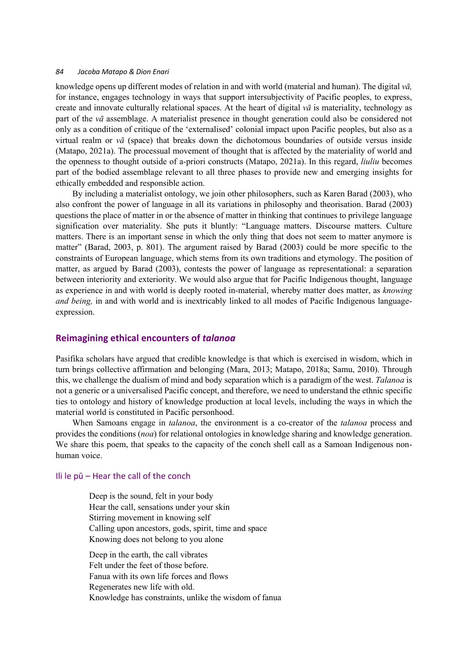knowledge opens up different modes of relation in and with world (material and human). The digital *vā,* for instance, engages technology in ways that support intersubjectivity of Pacific peoples, to express, create and innovate culturally relational spaces. At the heart of digital  $v\bar{a}$  is materiality, technology as part of the *vā* assemblage. A materialist presence in thought generation could also be considered not only as a condition of critique of the 'externalised' colonial impact upon Pacific peoples, but also as a virtual realm or *vā* (space) that breaks down the dichotomous boundaries of outside versus inside (Matapo, 2021a). The processual movement of thought that is affected by the materiality of world and the openness to thought outside of a-priori constructs (Matapo, 2021a). In this regard, *liuliu* becomes part of the bodied assemblage relevant to all three phases to provide new and emerging insights for ethically embedded and responsible action.

By including a materialist ontology, we join other philosophers, such as Karen Barad (2003), who also confront the power of language in all its variations in philosophy and theorisation. Barad (2003) questions the place of matter in or the absence of matter in thinking that continues to privilege language signification over materiality. She puts it bluntly: "Language matters. Discourse matters. Culture matters. There is an important sense in which the only thing that does not seem to matter anymore is matter" (Barad, 2003, p. 801). The argument raised by Barad (2003) could be more specific to the constraints of European language, which stems from its own traditions and etymology. The position of matter, as argued by Barad (2003), contests the power of language as representational: a separation between interiority and exteriority. We would also argue that for Pacific Indigenous thought, language as experience in and with world is deeply rooted in-material, whereby matter does matter, as *knowing and being,* in and with world and is inextricably linked to all modes of Pacific Indigenous languageexpression.

#### **Reimagining ethical encounters of** *talanoa*

Pasifika scholars have argued that credible knowledge is that which is exercised in wisdom, which in turn brings collective affirmation and belonging (Mara, 2013; Matapo, 2018a; Samu, 2010). Through this, we challenge the dualism of mind and body separation which is a paradigm of the west. *Talanoa* is not a generic or a universalised Pacific concept, and therefore, we need to understand the ethnic specific ties to ontology and history of knowledge production at local levels, including the ways in which the material world is constituted in Pacific personhood.

When Samoans engage in *talanoa*, the environment is a co-creator of the *talanoa* process and provides the conditions (*noa*) for relational ontologies in knowledge sharing and knowledge generation. We share this poem, that speaks to the capacity of the conch shell call as a Samoan Indigenous nonhuman voice.

#### Ili le pū – Hear the call of the conch

Deep is the sound, felt in your body Hear the call, sensations under your skin Stirring movement in knowing self Calling upon ancestors, gods, spirit, time and space Knowing does not belong to you alone

Deep in the earth, the call vibrates Felt under the feet of those before. Fanua with its own life forces and flows Regenerates new life with old. Knowledge has constraints, unlike the wisdom of fanua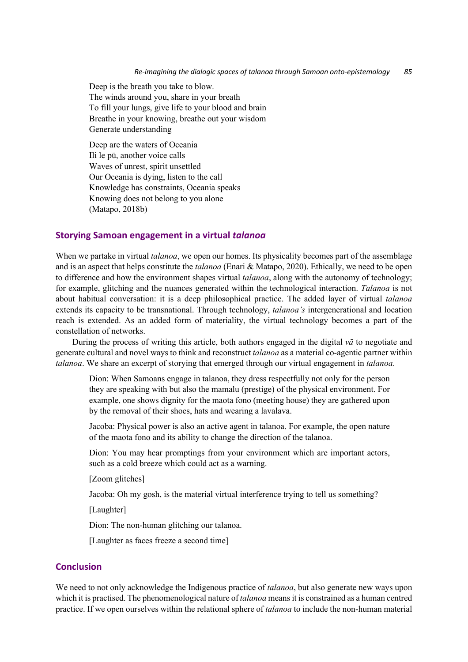Deep is the breath you take to blow. The winds around you, share in your breath To fill your lungs, give life to your blood and brain Breathe in your knowing, breathe out your wisdom Generate understanding

Deep are the waters of Oceania Ili le pū, another voice calls Waves of unrest, spirit unsettled Our Oceania is dying, listen to the call Knowledge has constraints, Oceania speaks Knowing does not belong to you alone (Matapo, 2018b)

#### **Storying Samoan engagement in a virtual** *talanoa*

When we partake in virtual *talanoa*, we open our homes. Its physicality becomes part of the assemblage and is an aspect that helps constitute the *talanoa* (Enari & Matapo, 2020). Ethically, we need to be open to difference and how the environment shapes virtual *talanoa*, along with the autonomy of technology; for example, glitching and the nuances generated within the technological interaction. *Talanoa* is not about habitual conversation: it is a deep philosophical practice. The added layer of virtual *talanoa*  extends its capacity to be transnational. Through technology, *talanoa's* intergenerational and location reach is extended. As an added form of materiality, the virtual technology becomes a part of the constellation of networks.

During the process of writing this article, both authors engaged in the digital *vā* to negotiate and generate cultural and novel ways to think and reconstruct *talanoa* as a material co-agentic partner within *talanoa*. We share an excerpt of storying that emerged through our virtual engagement in *talanoa*.

Dion: When Samoans engage in talanoa, they dress respectfully not only for the person they are speaking with but also the mamalu (prestige) of the physical environment. For example, one shows dignity for the maota fono (meeting house) they are gathered upon by the removal of their shoes, hats and wearing a lavalava.

Jacoba: Physical power is also an active agent in talanoa. For example, the open nature of the maota fono and its ability to change the direction of the talanoa.

Dion: You may hear promptings from your environment which are important actors, such as a cold breeze which could act as a warning.

[Zoom glitches]

Jacoba: Oh my gosh, is the material virtual interference trying to tell us something?

[Laughter]

Dion: The non-human glitching our talanoa.

[Laughter as faces freeze a second time]

# **Conclusion**

We need to not only acknowledge the Indigenous practice of *talanoa*, but also generate new ways upon which it is practised. The phenomenological nature of *talanoa* means it is constrained as a human centred practice. If we open ourselves within the relational sphere of *talanoa* to include the non-human material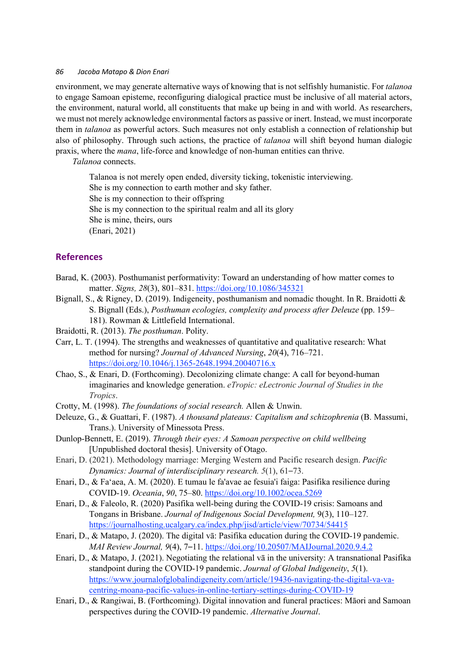environment, we may generate alternative ways of knowing that is not selfishly humanistic. For *talanoa* to engage Samoan episteme, reconfiguring dialogical practice must be inclusive of all material actors, the environment, natural world, all constituents that make up being in and with world. As researchers, we must not merely acknowledge environmental factors as passive or inert. Instead, we must incorporate them in *talanoa* as powerful actors. Such measures not only establish a connection of relationship but also of philosophy. Through such actions, the practice of *talanoa* will shift beyond human dialogic praxis, where the *mana*, life-force and knowledge of non-human entities can thrive.

*Talanoa* connects.

Talanoa is not merely open ended, diversity ticking, tokenistic interviewing. She is my connection to earth mother and sky father. She is my connection to their offspring She is my connection to the spiritual realm and all its glory She is mine, theirs, ours (Enari, 2021)

# **References**

- Barad, K. (2003). Posthumanist performativity: Toward an understanding of how matter comes to matter. *Signs, 28*(3), 801–831. https://doi.org/10.1086/345321
- Bignall, S., & Rigney, D. (2019). Indigeneity, posthumanism and nomadic thought. In R. Braidotti & S. Bignall (Eds.), *Posthuman ecologies, complexity and process after Deleuze* (pp. 159– 181). Rowman & Littlefield International.

Braidotti, R. (2013). *The posthuman*. Polity.

- Carr, L. T. (1994). The strengths and weaknesses of quantitative and qualitative research: What method for nursing? *Journal of Advanced Nursing*, *20*(4), 716–721. https://doi.org/10.1046/j.1365-2648.1994.20040716.x
- Chao, S., & Enari, D. (Forthcoming). Decolonizing climate change: A call for beyond-human imaginaries and knowledge generation. *eTropic: eLectronic Journal of Studies in the Tropics*.
- Crotty, M. (1998). *The foundations of social research.* Allen & Unwin.
- Deleuze, G., & Guattari, F. (1987). *A thousand plateaus: Capitalism and schizophrenia* (B. Massumi, Trans.). University of Minessota Press.
- Dunlop-Bennett, E. (2019). *Through their eyes: A Samoan perspective on child wellbeing* [Unpublished doctoral thesis]. University of Otago.
- Enari, D. (2021). Methodology marriage: Merging Western and Pacific research design. *Pacific Dynamics: Journal of interdisciplinary research. 5*(1), 61–73.
- Enari, D., & Fa'aea, A. M. (2020). E tumau le fa'avae ae fesuia'i faiga: Pasifika resilience during COVID‐19. *Oceania*, *90*, 75–80. https://doi.org/10.1002/ocea.5269
- Enari, D., & Faleolo, R. (2020) Pasifika well-being during the COVID-19 crisis: Samoans and Tongans in Brisbane. *Journal of Indigenous Social Development,* 9(3), 110*–*127*.* https://journalhosting.ucalgary.ca/index.php/jisd/article/view/70734/54415
- Enari, D., & Matapo, J. (2020). The digital vā: Pasifika education during the COVID-19 pandemic. *MAI Review Journal, 9*(4), 7–11. https://doi.org/10.20507/MAIJournal.2020.9.4.2
- Enari, D., & Matapo, J. (2021). Negotiating the relational vā in the university: A transnational Pasifika standpoint during the COVID-19 pandemic. *Journal of Global Indigeneity*, *5*(1). https://www.journalofglobalindigeneity.com/article/19436-navigating-the-digital-va-vacentring-moana-pacific-values-in-online-tertiary-settings-during-COVID-19
- Enari, D., & Rangiwai, B. (Forthcoming). Digital innovation and funeral practices: Māori and Samoan perspectives during the COVID-19 pandemic. *Alternative Journal*.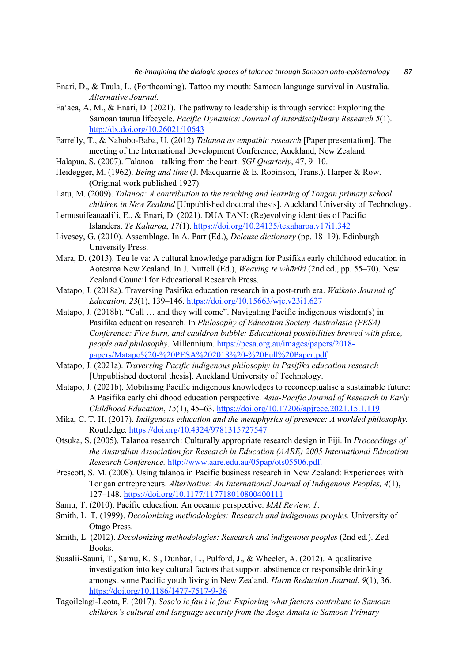- Enari, D., & Taula, L. (Forthcoming). Tattoo my mouth: Samoan language survival in Australia. *Alternative Journal.*
- Fa'aea, A. M., & Enari, D. (2021). The pathway to leadership is through service: Exploring the Samoan tautua lifecycle. *Pacific Dynamics: Journal of Interdisciplinary Research 5*(1). http://dx.doi.org/10.26021/10643
- Farrelly, T., & Nabobo-Baba, U. (2012) *Talanoa as empathic research* [Paper presentation]. The meeting of the International Development Conference, Auckland, New Zealand.
- Halapua, S. (2007). Talanoa—talking from the heart. *SGI Quarterly*, 47, 9–10.
- Heidegger, M. (1962). *Being and time* (J. Macquarrie & E. Robinson, Trans.). Harper & Row. (Original work published 1927).
- Latu, M. (2009). *Talanoa: A contribution to the teaching and learning of Tongan primary school children in New Zealand* [Unpublished doctoral thesis]. Auckland University of Technology.
- Lemusuifeauaali'i, E., & Enari, D. (2021). DUA TANI: (Re)evolving identities of Pacific Islanders. *Te Kaharoa*, *17*(1). https://doi.org/10.24135/tekaharoa.v17i1.342
- Livesey, G. (2010). Assemblage. In A. Parr (Ed.), *Deleuze dictionary* (pp. 18–19)*.* Edinburgh University Press.
- Mara, D. (2013). Teu le va: A cultural knowledge paradigm for Pasifika early childhood education in Aotearoa New Zealand. In J. Nuttell (Ed.), *Weaving te whāriki* (2nd ed., pp. 55–70). New Zealand Council for Educational Research Press.
- Matapo, J. (2018a). Traversing Pasifika education research in a post-truth era. *Waikato Journal of Education, 23*(1), 139–146. https://doi.org/10.15663/wje.v23i1.627
- Matapo, J. (2018b). "Call ... and they will come". Navigating Pacific indigenous wisdom(s) in Pasifika education research. In *Philosophy of Education Society Australasia (PESA) Conference: Fire burn, and cauldron bubble: Educational possibilities brewed with place, people and philosophy*. Millennium. https://pesa.org.au/images/papers/2018 papers/Matapo%20-%20PESA%202018%20-%20Full%20Paper.pdf
- Matapo, J. (2021a). *Traversing Pacific indigenous philosophy in Pasifika education research* [Unpublished doctoral thesis]. Auckland University of Technology.
- Matapo, J. (2021b). Mobilising Pacific indigenous knowledges to reconceptualise a sustainable future: A Pasifika early childhood education perspective. *Asia-Pacific Journal of Research in Early Childhood Education*, *15*(1), 45–63. https://doi.org/10.17206/apjrece.2021.15.1.119
- Mika, C. T. H. (2017). *Indigenous education and the metaphysics of presence: A worlded philosophy.* Routledge. https://doi.org/10.4324/9781315727547
- Otsuka, S. (2005). Talanoa research: Culturally appropriate research design in Fiji. In *Proceedings of the Australian Association for Research in Education (AARE) 2005 International Education Research Conference.* http://www.aare.edu.au/05pap/ots05506.pdf.
- Prescott, S. M. (2008). Using talanoa in Pacific business research in New Zealand: Experiences with Tongan entrepreneurs. *AlterNative: An International Journal of Indigenous Peoples, 4*(1), 127–148. https://doi.org/10.1177/117718010800400111
- Samu, T. (2010). Pacific education: An oceanic perspective. *MAI Review, 1*.
- Smith, L. T. (1999). *Decolonizing methodologies: Research and indigenous peoples.* University of Otago Press.
- Smith, L. (2012). *Decolonizing methodologies: Research and indigenous peoples* (2nd ed.). Zed Books.
- Suaalii-Sauni, T., Samu, K. S., Dunbar, L., Pulford, J., & Wheeler, A. (2012). A qualitative investigation into key cultural factors that support abstinence or responsible drinking amongst some Pacific youth living in New Zealand. *Harm Reduction Journal*, *9*(1), 36. https://doi.org/10.1186/1477-7517-9-36
- Tagoilelagi-Leota, F. (2017). *Soso'o le fau i le fau: Exploring what factors contribute to Samoan children's cultural and language security from the Aoga Amata to Samoan Primary*